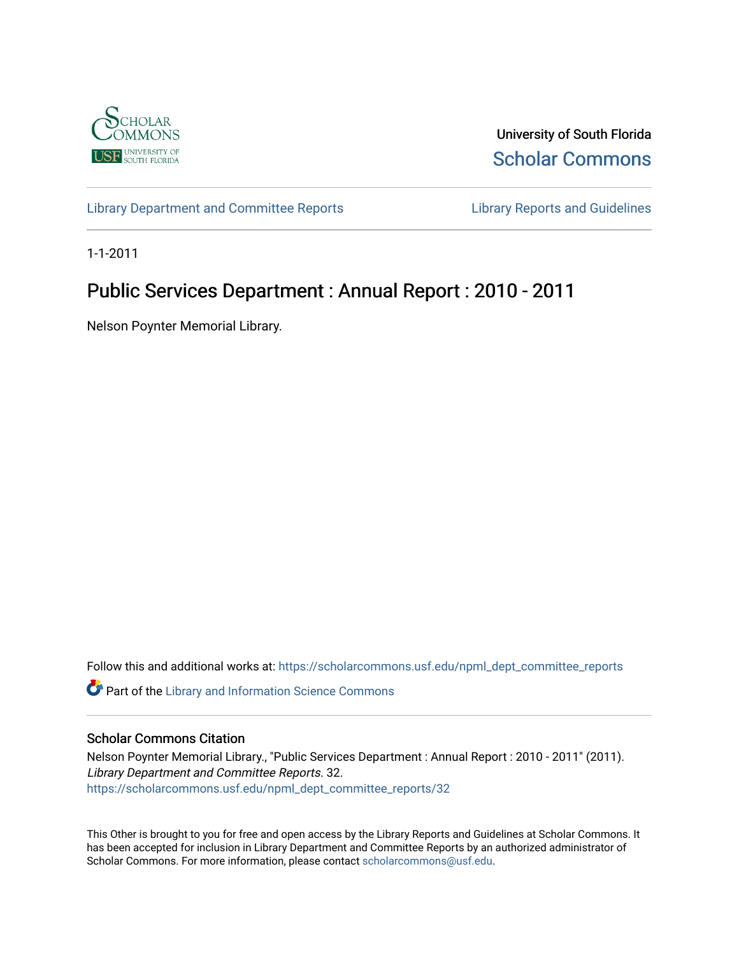

University of South Florida [Scholar Commons](https://scholarcommons.usf.edu/) 

[Library Department and Committee Reports](https://scholarcommons.usf.edu/npml_dept_committee_reports) [Library Reports and Guidelines](https://scholarcommons.usf.edu/npml_reports_guidelines_instruct_materials) 

1-1-2011

# Public Services Department : Annual Report : 2010 - 2011

Nelson Poynter Memorial Library.

Follow this and additional works at: [https://scholarcommons.usf.edu/npml\\_dept\\_committee\\_reports](https://scholarcommons.usf.edu/npml_dept_committee_reports?utm_source=scholarcommons.usf.edu%2Fnpml_dept_committee_reports%2F32&utm_medium=PDF&utm_campaign=PDFCoverPages)

Part of the [Library and Information Science Commons](http://network.bepress.com/hgg/discipline/1018?utm_source=scholarcommons.usf.edu%2Fnpml_dept_committee_reports%2F32&utm_medium=PDF&utm_campaign=PDFCoverPages) 

## Scholar Commons Citation

Nelson Poynter Memorial Library., "Public Services Department : Annual Report : 2010 - 2011" (2011). Library Department and Committee Reports. 32. [https://scholarcommons.usf.edu/npml\\_dept\\_committee\\_reports/32](https://scholarcommons.usf.edu/npml_dept_committee_reports/32?utm_source=scholarcommons.usf.edu%2Fnpml_dept_committee_reports%2F32&utm_medium=PDF&utm_campaign=PDFCoverPages) 

This Other is brought to you for free and open access by the Library Reports and Guidelines at Scholar Commons. It has been accepted for inclusion in Library Department and Committee Reports by an authorized administrator of Scholar Commons. For more information, please contact [scholarcommons@usf.edu](mailto:scholarcommons@usf.edu).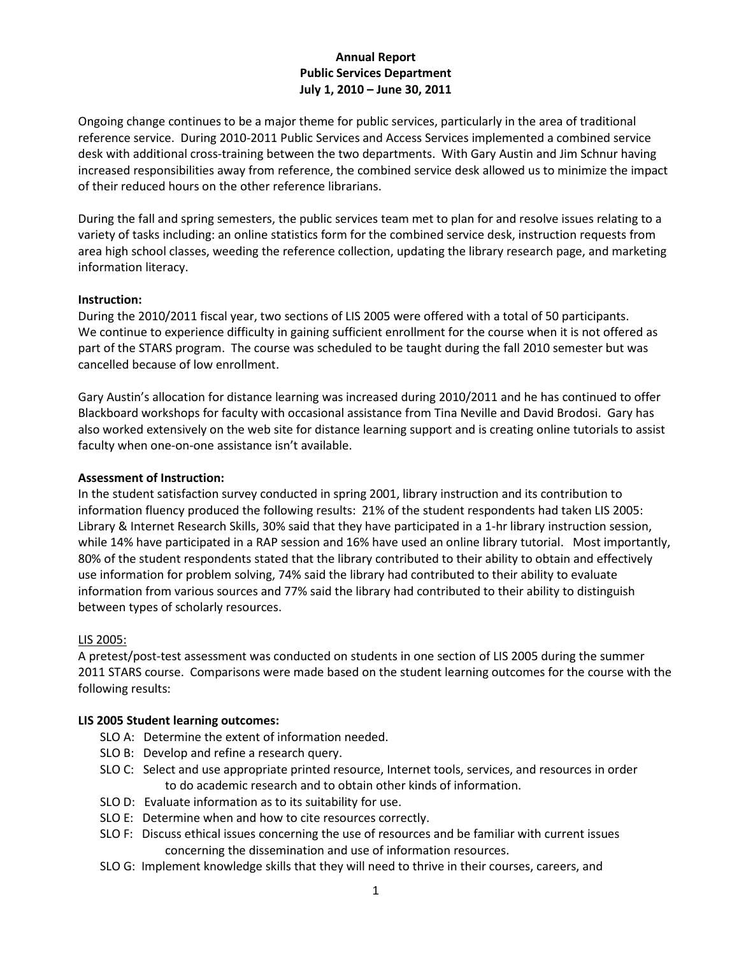# **Annual Report Public Services Department July 1, 2010 – June 30, 2011**

Ongoing change continues to be a major theme for public services, particularly in the area of traditional reference service. During 2010-2011 Public Services and Access Services implemented a combined service desk with additional cross-training between the two departments. With Gary Austin and Jim Schnur having increased responsibilities away from reference, the combined service desk allowed us to minimize the impact of their reduced hours on the other reference librarians.

During the fall and spring semesters, the public services team met to plan for and resolve issues relating to a variety of tasks including: an online statistics form for the combined service desk, instruction requests from area high school classes, weeding the reference collection, updating the library research page, and marketing information literacy.

#### **Instruction:**

During the 2010/2011 fiscal year, two sections of LIS 2005 were offered with a total of 50 participants. We continue to experience difficulty in gaining sufficient enrollment for the course when it is not offered as part of the STARS program. The course was scheduled to be taught during the fall 2010 semester but was cancelled because of low enrollment.

Gary Austin's allocation for distance learning was increased during 2010/2011 and he has continued to offer Blackboard workshops for faculty with occasional assistance from Tina Neville and David Brodosi. Gary has also worked extensively on the web site for distance learning support and is creating online tutorials to assist faculty when one-on-one assistance isn't available.

#### **Assessment of Instruction:**

In the student satisfaction survey conducted in spring 2001, library instruction and its contribution to information fluency produced the following results: 21% of the student respondents had taken LIS 2005: Library & Internet Research Skills, 30% said that they have participated in a 1-hr library instruction session, while 14% have participated in a RAP session and 16% have used an online library tutorial. Most importantly, 80% of the student respondents stated that the library contributed to their ability to obtain and effectively use information for problem solving, 74% said the library had contributed to their ability to evaluate information from various sources and 77% said the library had contributed to their ability to distinguish between types of scholarly resources.

## LIS 2005:

A pretest/post-test assessment was conducted on students in one section of LIS 2005 during the summer 2011 STARS course. Comparisons were made based on the student learning outcomes for the course with the following results:

#### **LIS 2005 Student learning outcomes:**

- SLO A: Determine the extent of information needed.
- SLO B: Develop and refine a research query.
- SLO C: Select and use appropriate printed resource, Internet tools, services, and resources in order to do academic research and to obtain other kinds of information.
- SLO D: Evaluate information as to its suitability for use.
- SLO E: Determine when and how to cite resources correctly.
- SLO F: Discuss ethical issues concerning the use of resources and be familiar with current issues concerning the dissemination and use of information resources.
- SLO G: Implement knowledge skills that they will need to thrive in their courses, careers, and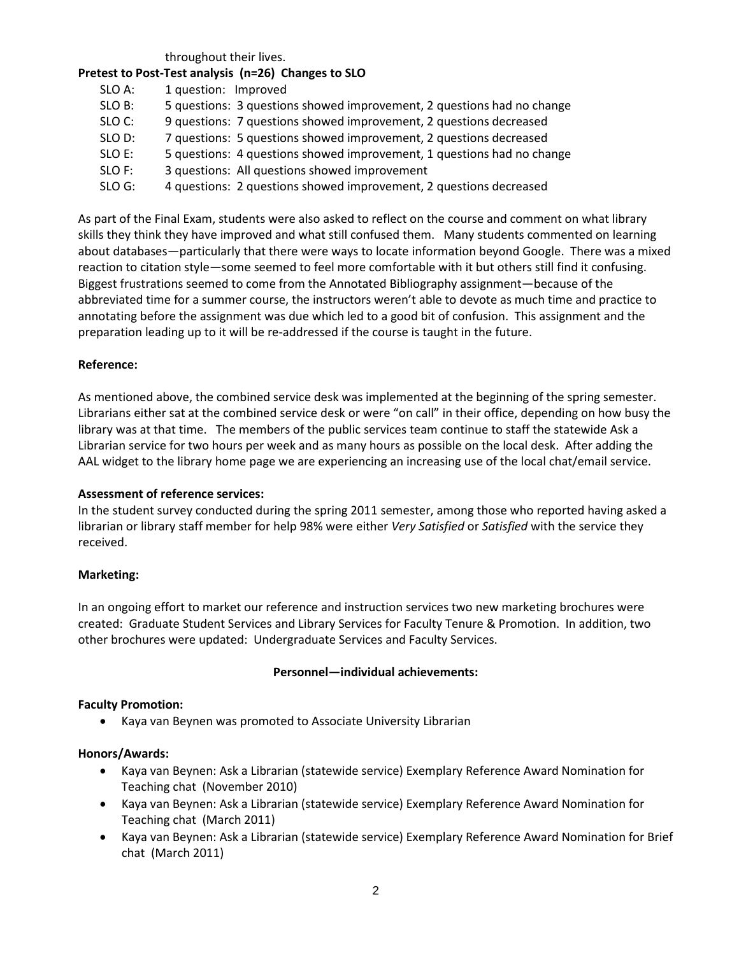throughout their lives.

## **Pretest to Post-Test analysis (n=26) Changes to SLO**

| SLO A: | 1 question: Improved                                                   |
|--------|------------------------------------------------------------------------|
| SLO B: | 5 questions: 3 questions showed improvement, 2 questions had no change |
| SLO C: | 9 questions: 7 questions showed improvement, 2 questions decreased     |
| SLO D: | 7 questions: 5 questions showed improvement, 2 questions decreased     |
| SLO E: | 5 questions: 4 questions showed improvement, 1 questions had no change |
| SLO F: | 3 questions: All questions showed improvement                          |
| SLO G: | 4 questions: 2 questions showed improvement, 2 questions decreased     |

As part of the Final Exam, students were also asked to reflect on the course and comment on what library skills they think they have improved and what still confused them. Many students commented on learning about databases—particularly that there were ways to locate information beyond Google. There was a mixed reaction to citation style—some seemed to feel more comfortable with it but others still find it confusing. Biggest frustrations seemed to come from the Annotated Bibliography assignment—because of the abbreviated time for a summer course, the instructors weren't able to devote as much time and practice to annotating before the assignment was due which led to a good bit of confusion. This assignment and the preparation leading up to it will be re-addressed if the course is taught in the future.

## **Reference:**

As mentioned above, the combined service desk was implemented at the beginning of the spring semester. Librarians either sat at the combined service desk or were "on call" in their office, depending on how busy the library was at that time. The members of the public services team continue to staff the statewide Ask a Librarian service for two hours per week and as many hours as possible on the local desk. After adding the AAL widget to the library home page we are experiencing an increasing use of the local chat/email service.

## **Assessment of reference services:**

In the student survey conducted during the spring 2011 semester, among those who reported having asked a librarian or library staff member for help 98% were either *Very Satisfied* or *Satisfied* with the service they received.

## **Marketing:**

In an ongoing effort to market our reference and instruction services two new marketing brochures were created: Graduate Student Services and Library Services for Faculty Tenure & Promotion. In addition, two other brochures were updated: Undergraduate Services and Faculty Services.

## **Personnel—individual achievements:**

#### **Faculty Promotion:**

• Kaya van Beynen was promoted to Associate University Librarian

#### **Honors/Awards:**

- Kaya van Beynen: Ask a Librarian (statewide service) Exemplary Reference Award Nomination for Teaching chat (November 2010)
- Kaya van Beynen: Ask a Librarian (statewide service) Exemplary Reference Award Nomination for Teaching chat (March 2011)
- Kaya van Beynen: Ask a Librarian (statewide service) Exemplary Reference Award Nomination for Brief chat (March 2011)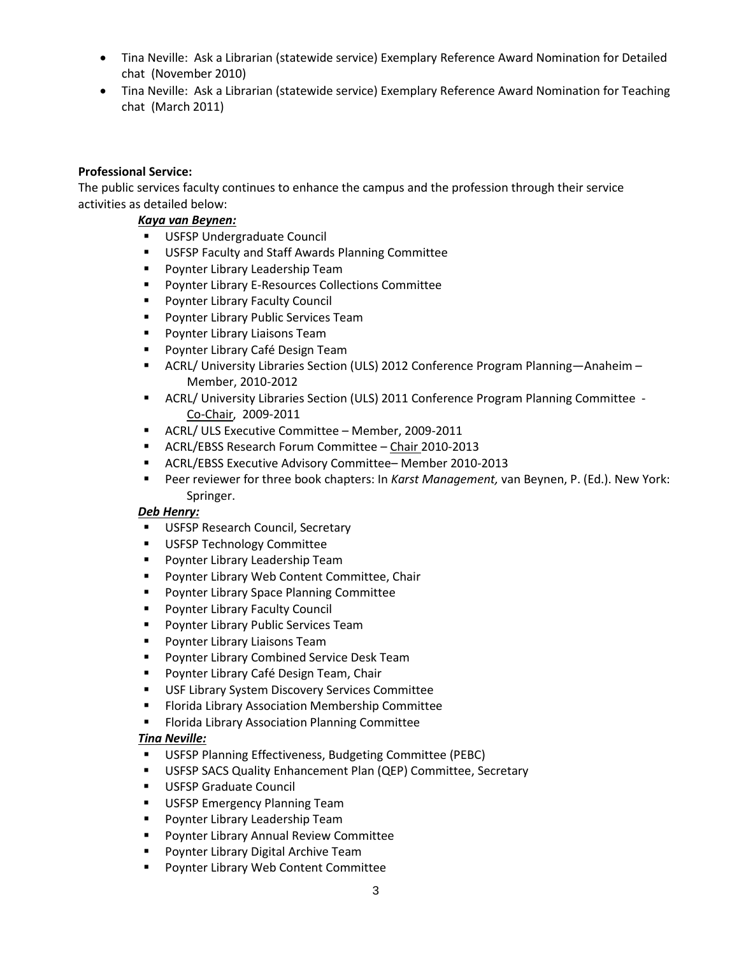- Tina Neville: Ask a Librarian (statewide service) Exemplary Reference Award Nomination for Detailed chat (November 2010)
- Tina Neville: Ask a Librarian (statewide service) Exemplary Reference Award Nomination for Teaching chat (March 2011)

## **Professional Service:**

The public services faculty continues to enhance the campus and the profession through their service activities as detailed below:

## *Kaya van Beynen:*

- **USFSP Undergraduate Council**
- **USFSP Faculty and Staff Awards Planning Committee**
- **Poynter Library Leadership Team**
- Poynter Library E-Resources Collections Committee
- **Poynter Library Faculty Council**
- **Poynter Library Public Services Team**
- **Poynter Library Liaisons Team**
- Poynter Library Café Design Team
- ACRL/ University Libraries Section (ULS) 2012 Conference Program Planning—Anaheim Member, 2010-2012
- ACRL/ University Libraries Section (ULS) 2011 Conference Program Planning Committee Co-Chair, 2009-2011
- **ACRL/ ULS Executive Committee Member, 2009-2011**
- ACRL/EBSS Research Forum Committee Chair 2010-2013
- ACRL/EBSS Executive Advisory Committee– Member 2010-2013
- Peer reviewer for three book chapters: In *Karst Management,* van Beynen, P. (Ed.). New York: Springer.

## *Deb Henry:*

- **USFSP Research Council, Secretary**
- **USFSP Technology Committee**
- **Poynter Library Leadership Team**
- **Poynter Library Web Content Committee, Chair**
- Poynter Library Space Planning Committee
- **Poynter Library Faculty Council**
- Poynter Library Public Services Team
- **Poynter Library Liaisons Team**
- **Poynter Library Combined Service Desk Team**
- Poynter Library Café Design Team, Chair
- USF Library System Discovery Services Committee
- Florida Library Association Membership Committee
- **Florida Library Association Planning Committee**

## *Tina Neville:*

- USFSP Planning Effectiveness, Budgeting Committee (PEBC)
- USFSP SACS Quality Enhancement Plan (QEP) Committee, Secretary
- USFSP Graduate Council
- **USFSP Emergency Planning Team**
- **Poynter Library Leadership Team**
- **Poynter Library Annual Review Committee**
- Poynter Library Digital Archive Team
- Poynter Library Web Content Committee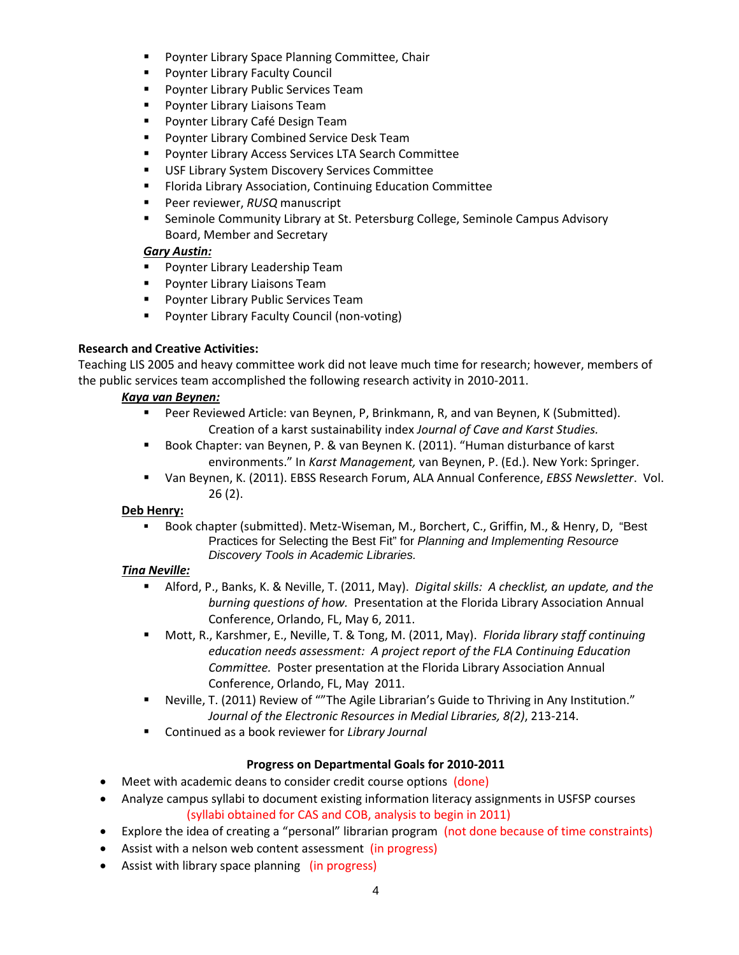- Poynter Library Space Planning Committee, Chair
- Poynter Library Faculty Council
- Poynter Library Public Services Team
- Poynter Library Liaisons Team
- Poynter Library Café Design Team
- Poynter Library Combined Service Desk Team
- Poynter Library Access Services LTA Search Committee
- USF Library System Discovery Services Committee
- Florida Library Association, Continuing Education Committee
- Peer reviewer, *RUSQ* manuscript
- Seminole Community Library at St. Petersburg College, Seminole Campus Advisory Board, Member and Secretary

# *Gary Austin:*

- Poynter Library Leadership Team
- Poynter Library Liaisons Team
- Poynter Library Public Services Team
- Poynter Library Faculty Council (non-voting)

# **Research and Creative Activities:**

Teaching LIS 2005 and heavy committee work did not leave much time for research; however, members of the public services team accomplished the following research activity in 2010-2011.

# *Kaya van Beynen:*

- Peer Reviewed Article: van Beynen, P, Brinkmann, R, and van Beynen, K (Submitted). Creation of a karst sustainability index *Journal of Cave and Karst Studies.*
- Book Chapter: van Beynen, P. & van Beynen K. (2011). "Human disturbance of karst environments." In *Karst Management,* van Beynen, P. (Ed.). New York: Springer.
- Van Beynen, K. (2011). EBSS Research Forum, ALA Annual Conference, *EBSS Newsletter*. Vol. 26 (2).

# **Deb Henry:**

 Book chapter (submitted). Metz-Wiseman, M., Borchert, C., Griffin, M., & Henry, D, "Best Practices for Selecting the Best Fit" for *Planning and Implementing Resource Discovery Tools in Academic Libraries.*

# *Tina Neville:*

- Alford, P., Banks, K. & Neville, T. (2011, May). *Digital skills: A checklist, an update, and the burning questions of how.* Presentation at the Florida Library Association Annual Conference, Orlando, FL, May 6, 2011.
- Mott, R., Karshmer, E., Neville, T. & Tong, M. (2011, May). *Florida library staff continuing education needs assessment: A project report of the FLA Continuing Education Committee.* Poster presentation at the Florida Library Association Annual Conference, Orlando, FL, May 2011.
- Neville, T. (2011) Review of ""The Agile Librarian's Guide to Thriving in Any Institution." *Journal of the Electronic Resources in Medial Libraries, 8(2)*, 213-214.
- Continued as a book reviewer for *Library Journal*

# **Progress on Departmental Goals for 2010-2011**

- Meet with academic deans to consider credit course options (done)
- Analyze campus syllabi to document existing information literacy assignments in USFSP courses (syllabi obtained for CAS and COB, analysis to begin in 2011)
- Explore the idea of creating a "personal" librarian program (not done because of time constraints)
- Assist with a nelson web content assessment (in progress)
- Assist with library space planning (in progress)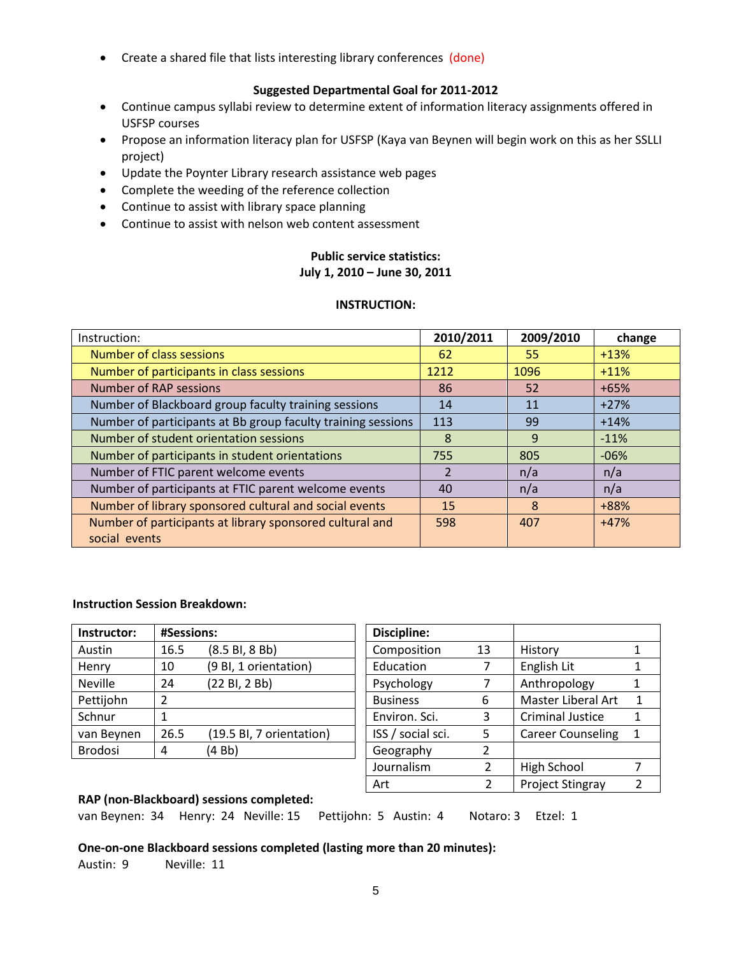• Create a shared file that lists interesting library conferences (done)

## **Suggested Departmental Goal for 2011-2012**

- Continue campus syllabi review to determine extent of information literacy assignments offered in USFSP courses
- Propose an information literacy plan for USFSP (Kaya van Beynen will begin work on this as her SSLLI project)
- Update the Poynter Library research assistance web pages
- Complete the weeding of the reference collection
- Continue to assist with library space planning
- Continue to assist with nelson web content assessment

# **Public service statistics: July 1, 2010 – June 30, 2011**

#### **INSTRUCTION:**

| Instruction:                                                 | 2010/2011      | 2009/2010 | change |
|--------------------------------------------------------------|----------------|-----------|--------|
| Number of class sessions                                     | 62             | 55        | $+13%$ |
| Number of participants in class sessions                     | 1212           | 1096      | $+11%$ |
| <b>Number of RAP sessions</b>                                | 86             | 52        | $+65%$ |
| Number of Blackboard group faculty training sessions         | 14             | 11        | $+27%$ |
| Number of participants at Bb group faculty training sessions | 113            | 99        | $+14%$ |
| Number of student orientation sessions                       | 8              | 9         | $-11%$ |
| Number of participants in student orientations               | 755            | 805       | $-06%$ |
| Number of FTIC parent welcome events                         | $\overline{2}$ | n/a       | n/a    |
| Number of participants at FTIC parent welcome events         | 40             | n/a       | n/a    |
| Number of library sponsored cultural and social events       | 15             | 8         | +88%   |
| Number of participants at library sponsored cultural and     | 598            | 407       | $+47%$ |
| social events                                                |                |           |        |

#### **Instruction Session Breakdown:**

| Instructor:    | #Sessions:          |                          |  |
|----------------|---------------------|--------------------------|--|
| Austin         | 16.5                | (8.5 B, 8 B)             |  |
| Henry          | 10                  | (9 Bl, 1 orientation)    |  |
| <b>Neville</b> | (22 BI, 2 Bb)<br>24 |                          |  |
| Pettijohn      | 2                   |                          |  |
| Schnur         |                     |                          |  |
| van Beynen     | 26.5                | (19.5 Bl, 7 orientation) |  |
| <b>Brodosi</b> | 4                   | (4Bb)                    |  |

| Discipline:       |    |                          |   |
|-------------------|----|--------------------------|---|
| Composition       | 13 | History                  |   |
| Education         | 7  | English Lit              |   |
| Psychology        |    | Anthropology             |   |
| <b>Business</b>   | 6  | Master Liberal Art       | 1 |
| Environ. Sci.     | 3  | <b>Criminal Justice</b>  |   |
| ISS / social sci. | 5  | <b>Career Counseling</b> | 1 |
| Geography         | 2  |                          |   |
| Journalism        | 2  | High School              |   |
| Art               | 2  | <b>Project Stingray</b>  |   |

## **RAP (non-Blackboard) sessions completed:**

van Beynen: 34 Henry: 24 Neville: 15 Pettijohn: 5 Austin: 4 Notaro: 3 Etzel: 1

#### **One-on-one Blackboard sessions completed (lasting more than 20 minutes):**

Austin: 9 Neville: 11